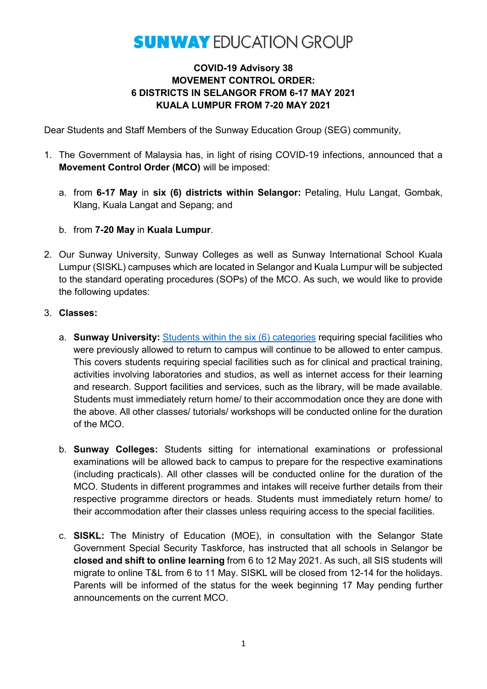## **SUNWAY EDUCATION GROUP**

## **COVID-19 Advisory 38 MOVEMENT CONTROL ORDER: 6 DISTRICTS IN SELANGOR FROM 6-17 MAY 2021 KUALA LUMPUR FROM 7-20 MAY 2021**

Dear Students and Staff Members of the Sunway Education Group (SEG) community,

- 1. The Government of Malaysia has, in light of rising COVID-19 infections, announced that a **Movement Control Order (MCO)** will be imposed:
	- a. from **6-17 May** in **six (6) districts within Selangor:** Petaling, Hulu Langat, Gombak, Klang, Kuala Langat and Sepang; and
	- b. from **7-20 May** in **Kuala Lumpur**.
- 2. Our Sunway University, Sunway Colleges as well as Sunway International School Kuala Lumpur (SISKL) campuses which are located in Selangor and Kuala Lumpur will be subjected to the standard operating procedures (SOPs) of the MCO. As such, we would like to provide the following updates:
- 3. **Classes:** 
	- a. **Sunway University:** [Students within the six \(6\) categories](https://www.facebook.com/156294984421979/posts/4082742665110505/?d=n) requiring special facilities who were previously allowed to return to campus will continue to be allowed to enter campus. This covers students requiring special facilities such as for clinical and practical training, activities involving laboratories and studios, as well as internet access for their learning and research. Support facilities and services, such as the library, will be made available. Students must immediately return home/ to their accommodation once they are done with the above. All other classes/ tutorials/ workshops will be conducted online for the duration of the MCO.
	- b. **Sunway Colleges:** Students sitting for international examinations or professional examinations will be allowed back to campus to prepare for the respective examinations (including practicals). All other classes will be conducted online for the duration of the MCO. Students in different programmes and intakes will receive further details from their respective programme directors or heads. Students must immediately return home/ to their accommodation after their classes unless requiring access to the special facilities.
	- c. **SISKL:** The Ministry of Education (MOE), in consultation with the Selangor State Government Special Security Taskforce, has instructed that all schools in Selangor be **closed and shift to online learning** from 6 to 12 May 2021. As such, all SIS students will migrate to online T&L from 6 to 11 May. SISKL will be closed from 12-14 for the holidays. Parents will be informed of the status for the week beginning 17 May pending further announcements on the current MCO.